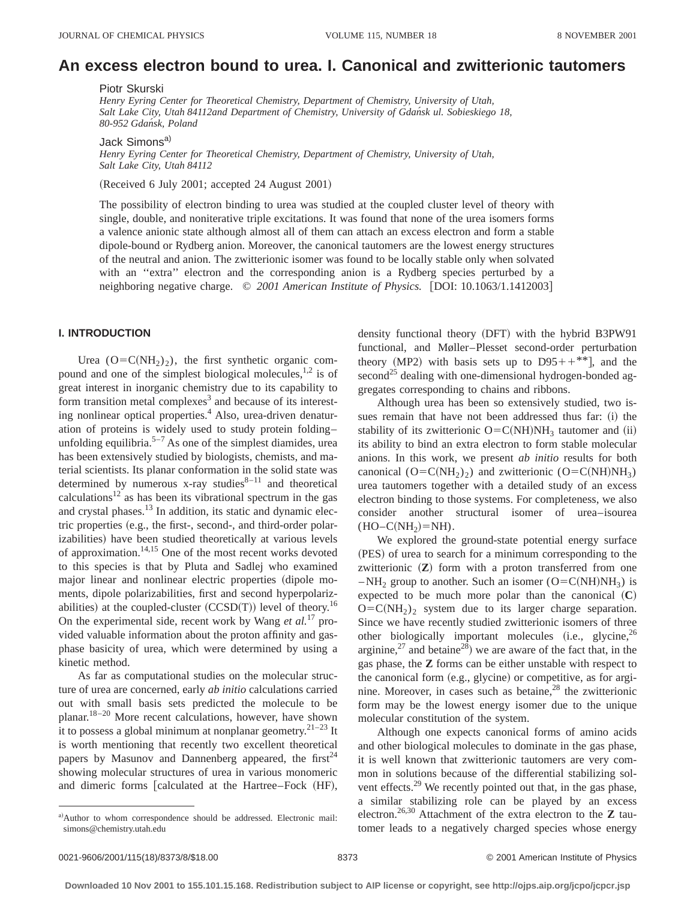# **An excess electron bound to urea. I. Canonical and zwitterionic tautomers**

Piotr Skurski

*Henry Eyring Center for Theoretical Chemistry, Department of Chemistry, University of Utah, Salt Lake City, Utah 84112and Department of Chemistry, University of Gdan´sk ul. Sobieskiego 18, 80-952 Gdan´sk, Poland*

Jack Simons<sup>a)</sup>

*Henry Eyring Center for Theoretical Chemistry, Department of Chemistry, University of Utah, Salt Lake City, Utah 84112*

 $(Received 6 July 2001; accepted 24 August 2001)$ 

The possibility of electron binding to urea was studied at the coupled cluster level of theory with single, double, and noniterative triple excitations. It was found that none of the urea isomers forms a valence anionic state although almost all of them can attach an excess electron and form a stable dipole-bound or Rydberg anion. Moreover, the canonical tautomers are the lowest energy structures of the neutral and anion. The zwitterionic isomer was found to be locally stable only when solvated with an ''extra'' electron and the corresponding anion is a Rydberg species perturbed by a neighboring negative charge. © 2001 American Institute of Physics. [DOI: 10.1063/1.1412003]

#### **I. INTRODUCTION**

Urea  $(O=C(NH_2)_2)$ , the first synthetic organic compound and one of the simplest biological molecules,  $1,2$  is of great interest in inorganic chemistry due to its capability to form transition metal complexes<sup>3</sup> and because of its interesting nonlinear optical properties.<sup>4</sup> Also, urea-driven denaturation of proteins is widely used to study protein folding– unfolding equilibria.<sup>5-7</sup> As one of the simplest diamides, urea has been extensively studied by biologists, chemists, and material scientists. Its planar conformation in the solid state was determined by numerous x-ray studies $8-11$  and theoretical calculations $12$  as has been its vibrational spectrum in the gas and crystal phases.<sup>13</sup> In addition, its static and dynamic electric properties (e.g., the first-, second-, and third-order polarizabilities) have been studied theoretically at various levels of approximation. $14,15$  One of the most recent works devoted to this species is that by Pluta and Sadlej who examined major linear and nonlinear electric properties (dipole moments, dipole polarizabilities, first and second hyperpolarizabilities) at the coupled-cluster  $(CCSD(T))$  level of theory.<sup>16</sup> On the experimental side, recent work by Wang *et al.*<sup>17</sup> provided valuable information about the proton affinity and gasphase basicity of urea, which were determined by using a kinetic method.

As far as computational studies on the molecular structure of urea are concerned, early *ab initio* calculations carried out with small basis sets predicted the molecule to be planar.18–20 More recent calculations, however, have shown it to possess a global minimum at nonplanar geometry.<sup>21-23</sup> It is worth mentioning that recently two excellent theoretical papers by Masunov and Dannenberg appeared, the first<sup>24</sup> showing molecular structures of urea in various monomeric and dimeric forms [calculated at the Hartree–Fock (HF),

density functional theory (DFT) with the hybrid B3PW91 functional, and Møller–Plesset second-order perturbation theory (MP2) with basis sets up to  $D95++**$ , and the second<sup>25</sup> dealing with one-dimensional hydrogen-bonded aggregates corresponding to chains and ribbons.

Although urea has been so extensively studied, two issues remain that have not been addressed thus far: (i) the stability of its zwitterionic  $O=C(NH)NH_3$  tautomer and (ii) its ability to bind an extra electron to form stable molecular anions. In this work, we present *ab initio* results for both canonical  $(O=C(NH_2)_2)$  and zwitterionic  $(O=C(NH)NH_3)$ urea tautomers together with a detailed study of an excess electron binding to those systems. For completeness, we also consider another structural isomer of urea–isourea  $(HO-C(NH<sub>2</sub>)=NH).$ 

We explored the ground-state potential energy surface (PES) of urea to search for a minimum corresponding to the zwitterionic  $(Z)$  form with a proton transferred from one – NH<sub>2</sub> group to another. Such an isomer (O=C(NH)NH<sub>3</sub>) is expected to be much more polar than the canonical  $({\bf C})$  $O=C(NH_2)_2$  system due to its larger charge separation. Since we have recently studied zwitterionic isomers of three other biologically important molecules  $(i.e., glycine, <sup>26</sup>)$ arginine,<sup>27</sup> and betaine<sup>28</sup>) we are aware of the fact that, in the gas phase, the **Z** forms can be either unstable with respect to the canonical form  $(e.g., glycine)$  or competitive, as for arginine. Moreover, in cases such as betaine, $^{28}$  the zwitterionic form may be the lowest energy isomer due to the unique molecular constitution of the system.

Although one expects canonical forms of amino acids and other biological molecules to dominate in the gas phase, it is well known that zwitterionic tautomers are very common in solutions because of the differential stabilizing solvent effects.<sup>29</sup> We recently pointed out that, in the gas phase, a similar stabilizing role can be played by an excess electron.26,30 Attachment of the extra electron to the **Z** tautomer leads to a negatively charged species whose energy

a)Author to whom correspondence should be addressed. Electronic mail: simons@chemistry.utah.edu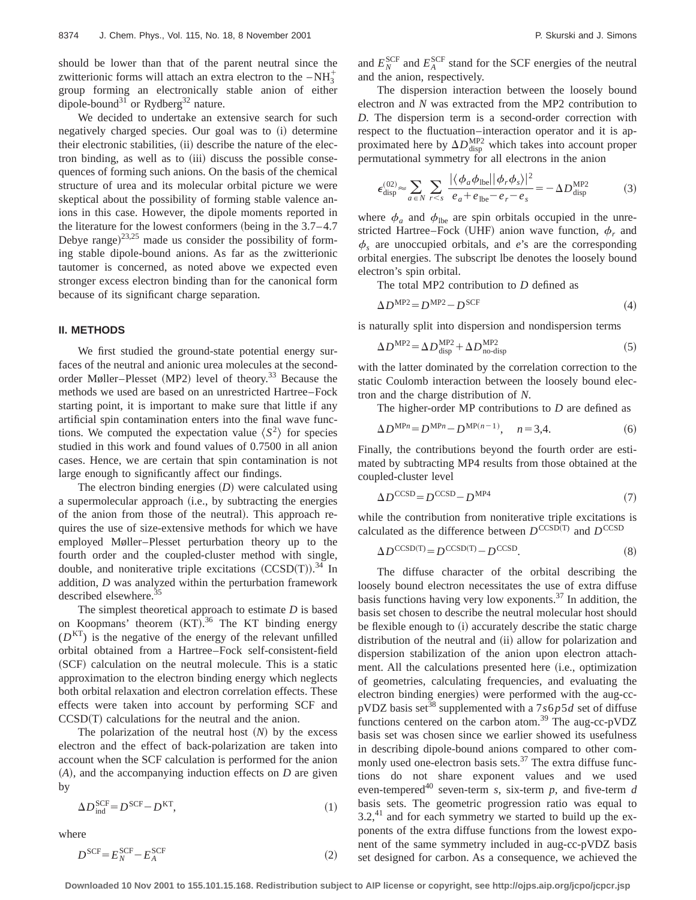should be lower than that of the parent neutral since the zwitterionic forms will attach an extra electron to the  $-NH_3^+$ group forming an electronically stable anion of either dipole-bound<sup>31</sup> or Rydberg<sup>32</sup> nature.

We decided to undertake an extensive search for such negatively charged species. Our goal was to  $(i)$  determine their electronic stabilities, (ii) describe the nature of the electron binding, as well as to (iii) discuss the possible consequences of forming such anions. On the basis of the chemical structure of urea and its molecular orbital picture we were skeptical about the possibility of forming stable valence anions in this case. However, the dipole moments reported in the literature for the lowest conformers (being in the  $3.7–4.7$ Debye range) $^{23,25}$  made us consider the possibility of forming stable dipole-bound anions. As far as the zwitterionic tautomer is concerned, as noted above we expected even stronger excess electron binding than for the canonical form because of its significant charge separation.

#### **II. METHODS**

We first studied the ground-state potential energy surfaces of the neutral and anionic urea molecules at the secondorder Møller–Plesset (MP2) level of theory.<sup>33</sup> Because the methods we used are based on an unrestricted Hartree–Fock starting point, it is important to make sure that little if any artificial spin contamination enters into the final wave functions. We computed the expectation value  $\langle S^2 \rangle$  for species studied in this work and found values of 0.7500 in all anion cases. Hence, we are certain that spin contamination is not large enough to significantly affect our findings.

The electron binding energies  $(D)$  were calculated using a supermolecular approach (i.e., by subtracting the energies of the anion from those of the neutral). This approach requires the use of size-extensive methods for which we have employed Møller–Plesset perturbation theory up to the fourth order and the coupled-cluster method with single, double, and noniterative triple excitations  $(CCSD(T))$ .<sup>34</sup> In addition, *D* was analyzed within the perturbation framework described elsewhere.<sup>35</sup>

The simplest theoretical approach to estimate *D* is based on Koopmans' theorem  $(KT)$ .<sup>36</sup> The KT binding energy  $(D<sup>KT</sup>)$  is the negative of the energy of the relevant unfilled orbital obtained from a Hartree–Fock self-consistent-field (SCF) calculation on the neutral molecule. This is a static approximation to the electron binding energy which neglects both orbital relaxation and electron correlation effects. These effects were taken into account by performing SCF and  $CCSD(T)$  calculations for the neutral and the anion.

The polarization of the neutral host  $(N)$  by the excess electron and the effect of back-polarization are taken into account when the SCF calculation is performed for the anion  $(A)$ , and the accompanying induction effects on  $D$  are given by

$$
\Delta D_{\text{ind}}^{\text{SCF}} = D^{\text{SCF}} - D^{\text{KT}},\tag{1}
$$

where

$$
D^{\text{SCF}} = E_N^{\text{SCF}} - E_A^{\text{SCF}} \tag{2}
$$

and  $E_N^{\text{SCF}}$  and  $E_A^{\text{SCF}}$  stand for the SCF energies of the neutral and the anion, respectively.

The dispersion interaction between the loosely bound electron and *N* was extracted from the MP2 contribution to *D*. The dispersion term is a second-order correction with respect to the fluctuation–interaction operator and it is approximated here by  $\Delta D_{\text{disp}}^{\text{MP2}}$  which takes into account proper permutational symmetry for all electrons in the anion

$$
\epsilon_{\text{disp}}^{(02)} \approx \sum_{a \in N} \sum_{r < s} \frac{|\langle \phi_a \phi_{\text{lbe}} | |\phi_r \phi_s \rangle|^2}{e_a + e_{\text{lbe}} - e_r - e_s} = -\Delta D_{\text{disp}}^{\text{MP2}} \tag{3}
$$

where  $\phi_a$  and  $\phi_{\text{lbe}}$  are spin orbitals occupied in the unrestricted Hartree–Fock (UHF) anion wave function,  $\phi_r$  and  $\phi_s$  are unoccupied orbitals, and *e*'s are the corresponding orbital energies. The subscript lbe denotes the loosely bound electron's spin orbital.

The total MP2 contribution to *D* defined as

$$
\Delta D^{\text{MP2}} = D^{\text{MP2}} - D^{\text{SCF}} \tag{4}
$$

is naturally split into dispersion and nondispersion terms

$$
\Delta D^{\text{MP2}} = \Delta D_{\text{disp}}^{\text{MP2}} + \Delta D_{\text{no-disp}}^{\text{MP2}}
$$
 (5)

with the latter dominated by the correlation correction to the static Coulomb interaction between the loosely bound electron and the charge distribution of *N*.

The higher-order MP contributions to *D* are defined as

$$
\Delta D^{\text{MP}n} = D^{\text{MP}n} - D^{\text{MP}(n-1)}, \quad n = 3, 4. \tag{6}
$$

Finally, the contributions beyond the fourth order are estimated by subtracting MP4 results from those obtained at the coupled-cluster level

$$
\Delta D^{\text{CCSD}} = D^{\text{CCSD}} - D^{\text{MP4}} \tag{7}
$$

while the contribution from noniterative triple excitations is calculated as the difference between  $D^{\text{CCSD(T)}}$  and  $D^{\text{CCSD}}$ 

$$
\Delta D^{\text{CCSD(T)}} = D^{\text{CCSD(T)}} - D^{\text{CCSD}}.\tag{8}
$$

The diffuse character of the orbital describing the loosely bound electron necessitates the use of extra diffuse basis functions having very low exponents.37 In addition, the basis set chosen to describe the neutral molecular host should be flexible enough to (i) accurately describe the static charge distribution of the neutral and (ii) allow for polarization and dispersion stabilization of the anion upon electron attachment. All the calculations presented here (i.e., optimization of geometries, calculating frequencies, and evaluating the electron binding energies) were performed with the aug-ccpVDZ basis set<sup>38</sup> supplemented with a  $7s6p5d$  set of diffuse functions centered on the carbon atom.<sup>39</sup> The aug-cc-pVDZ basis set was chosen since we earlier showed its usefulness in describing dipole-bound anions compared to other commonly used one-electron basis sets.<sup>37</sup> The extra diffuse functions do not share exponent values and we used even-tempered<sup>40</sup> seven-term *s*, six-term *p*, and five-term *d* basis sets. The geometric progression ratio was equal to  $3.2$ ,<sup>41</sup> and for each symmetry we started to build up the exponents of the extra diffuse functions from the lowest exponent of the same symmetry included in aug-cc-pVDZ basis set designed for carbon. As a consequence, we achieved the

**Downloaded 10 Nov 2001 to 155.101.15.168. Redistribution subject to AIP license or copyright, see http://ojps.aip.org/jcpo/jcpcr.jsp**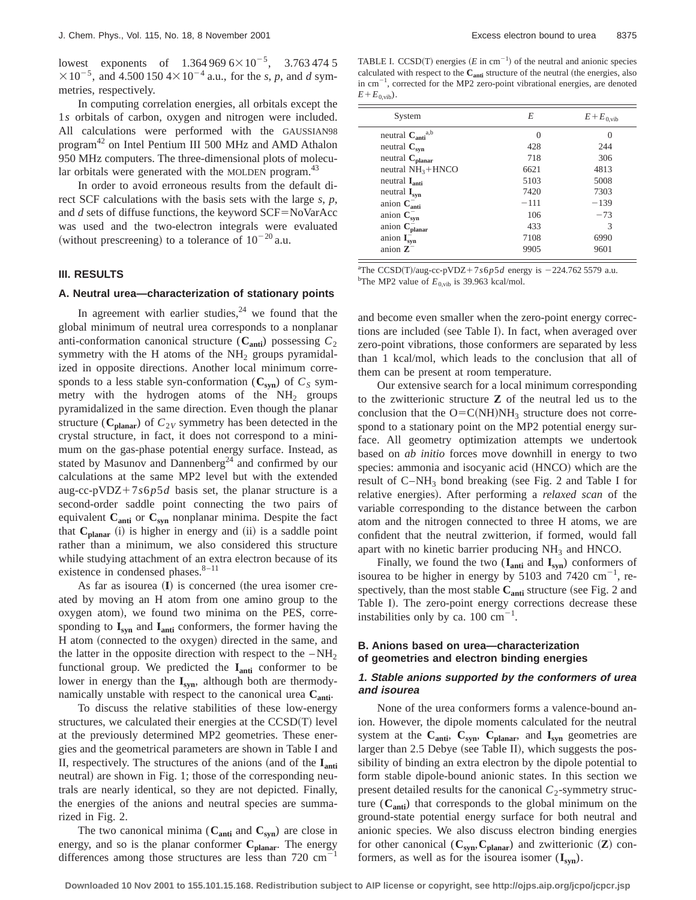lowest exponents of  $1.364\,969\,6\times10^{-5}$ ,  $3.763\,474\,5$  $\times 10^{-5}$ , and 4.500 150 4 $\times 10^{-4}$  a.u., for the *s*, *p*, and *d* symmetries, respectively.

In computing correlation energies, all orbitals except the 1*s* orbitals of carbon, oxygen and nitrogen were included. All calculations were performed with the GAUSSIAN98 program42 on Intel Pentium III 500 MHz and AMD Athalon 950 MHz computers. The three-dimensional plots of molecular orbitals were generated with the MOLDEN program.<sup>43</sup>

In order to avoid erroneous results from the default direct SCF calculations with the basis sets with the large *s*, *p*, and  $d$  sets of diffuse functions, the keyword  $SCF = NoVarAcc$ was used and the two-electron integrals were evaluated (without prescreening) to a tolerance of  $10^{-20}$  a.u.

#### **III. RESULTS**

#### **A. Neutral urea—characterization of stationary points**

In agreement with earlier studies,  $24$  we found that the global minimum of neutral urea corresponds to a nonplanar anti-conformation canonical structure  $(C_{\text{anti}})$  possessing  $C_2$ symmetry with the H atoms of the  $NH<sub>2</sub>$  groups pyramidalized in opposite directions. Another local minimum corresponds to a less stable syn-conformation  $(C_{syn})$  of  $C_S$  symmetry with the hydrogen atoms of the  $NH<sub>2</sub>$  groups pyramidalized in the same direction. Even though the planar structure ( $C_{\text{planar}}$ ) of  $C_{2V}$  symmetry has been detected in the crystal structure, in fact, it does not correspond to a minimum on the gas-phase potential energy surface. Instead, as stated by Masunov and Dannenberg<sup>24</sup> and confirmed by our calculations at the same MP2 level but with the extended aug-cc-pVDZ+7 $s6p5d$  basis set, the planar structure is a second-order saddle point connecting the two pairs of equivalent C<sub>anti</sub> or C<sub>syn</sub> nonplanar minima. Despite the fact that  $C_{\text{planar}}$  (i) is higher in energy and (ii) is a saddle point rather than a minimum, we also considered this structure while studying attachment of an extra electron because of its existence in condensed phases.<sup>8-11</sup>

As far as isourea  $($ **I** $)$  is concerned (the urea isomer created by moving an H atom from one amino group to the oxygen atom), we found two minima on the PES, corresponding to **Isyn** and **Ianti** conformers, the former having the H atom (connected to the oxygen) directed in the same, and the latter in the opposite direction with respect to the  $-NH<sub>2</sub>$ functional group. We predicted the I<sub>anti</sub> conformer to be lower in energy than the  $I_{syn}$ , although both are thermodynamically unstable with respect to the canonical urea  $C_{\text{anti}}$ .

To discuss the relative stabilities of these low-energy structures, we calculated their energies at the  $CCSD(T)$  level at the previously determined MP2 geometries. These energies and the geometrical parameters are shown in Table I and II, respectively. The structures of the anions (and of the  $I_{\text{anti}}$ neutral) are shown in Fig. 1; those of the corresponding neutrals are nearly identical, so they are not depicted. Finally, the energies of the anions and neutral species are summarized in Fig. 2.

The two canonical minima  $(C_{\text{anti}}$  and  $C_{\text{syn}})$  are close in energy, and so is the planar conformer  $C_{\text{planar}}$ . The energy differences among those structures are less than  $720 \text{ cm}^{-1}$ 

TABLE I. CCSD(T) energies ( $E$  in cm<sup>-1</sup>) of the neutral and anionic species calculated with respect to the C<sub>anti</sub> structure of the neutral (the energies, also in  $cm^{-1}$ , corrected for the MP2 zero-point vibrational energies, are denoted  $E + E_{0, \text{vib}}$ .

| System                                     | E        | $E + E$ <sub>0.vib</sub> |  |
|--------------------------------------------|----------|--------------------------|--|
| neutral $\mathbf{C}_{\textbf{anti}}^{a,b}$ | $\Omega$ | 0                        |  |
| neutral $C_{syn}$                          | 428      | 244                      |  |
| neutral $C_{\text{planar}}$                | 718      | 306                      |  |
| neutral $NH3 + HNCO$                       | 6621     | 4813                     |  |
| neutral $I_{\text{anti}}$                  | 5103     | 5008                     |  |
| neutral $I_{syn}$                          | 7420     | 7303                     |  |
| anion $C_{\text{anti}}^-$                  | $-111$   | $-139$                   |  |
| anion $C_{syn}^-$                          | 106      | $-73$                    |  |
| anion $C_{planar}^-$                       | 433      | 3                        |  |
| anion $I_{syn}^-$                          | 7108     | 6990                     |  |
| anion $\mathbb{Z}^-$                       | 9905     | 9601                     |  |

<sup>a</sup>The CCSD(T)/aug-cc-pVDZ+7 $s6p5d$  energy is -224.762 5579 a.u. <sup>b</sup>The MP2 value of  $E_{0,\text{vib}}$  is 39.963 kcal/mol.

and become even smaller when the zero-point energy corrections are included (see Table I). In fact, when averaged over zero-point vibrations, those conformers are separated by less than 1 kcal/mol, which leads to the conclusion that all of them can be present at room temperature.

Our extensive search for a local minimum corresponding to the zwitterionic structure **Z** of the neutral led us to the conclusion that the  $O=C(NH)NH_3$  structure does not correspond to a stationary point on the MP2 potential energy surface. All geometry optimization attempts we undertook based on *ab initio* forces move downhill in energy to two species: ammonia and isocyanic acid (HNCO) which are the result of  $C-NH_3$  bond breaking (see Fig. 2 and Table I for relative energies). After performing a *relaxed scan* of the variable corresponding to the distance between the carbon atom and the nitrogen connected to three H atoms, we are confident that the neutral zwitterion, if formed, would fall apart with no kinetic barrier producing  $NH<sub>3</sub>$  and HNCO.

Finally, we found the two (**Ianti** and **Isyn**) conformers of isourea to be higher in energy by 5103 and 7420  $\text{cm}^{-1}$ , respectively, than the most stable  $C_{\text{anti}}$  structure (see Fig. 2 and Table I). The zero-point energy corrections decrease these instabilities only by ca.  $100 \text{ cm}^{-1}$ .

### **B. Anions based on urea—characterization of geometries and electron binding energies**

#### **1. Stable anions supported by the conformers of urea and isourea**

None of the urea conformers forms a valence-bound anion. However, the dipole moments calculated for the neutral system at the  $C_{\text{anti}}$ ,  $C_{\text{syn}}$ ,  $C_{\text{planar}}$ , and  $I_{\text{syn}}$  geometries are larger than  $2.5$  Debye (see Table II), which suggests the possibility of binding an extra electron by the dipole potential to form stable dipole-bound anionic states. In this section we present detailed results for the canonical  $C_2$ -symmetry structure  $(C_{\text{anti}})$  that corresponds to the global minimum on the ground-state potential energy surface for both neutral and anionic species. We also discuss electron binding energies for other canonical  $(\mathbf{C}_{syn}, \mathbf{C}_{planar})$  and zwitterionic  $(\mathbf{Z})$  conformers, as well as for the isourea isomer  $(I_{syn})$ .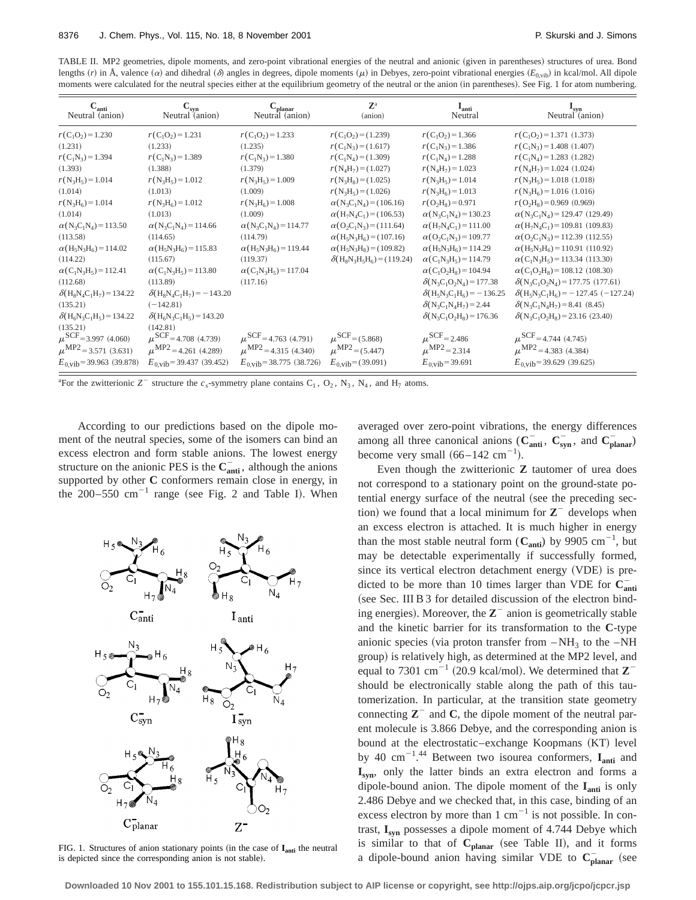TABLE II. MP2 geometries, dipole moments, and zero-point vibrational energies of the neutral and anionic (given in parentheses) structures of urea. Bond lengths  $(r)$  in Å, valence  $(\alpha)$  and dihedral  $(\delta)$  angles in degrees, dipole moments  $(\mu)$  in Debyes, zero-point vibrational energies  $(E_{0, \text{vib}})$  in kcal/mol. All dipole moments were calculated for the neutral species either at the equilibrium geometry of the neutral or the anion (in parentheses). See Fig. 1 for atom numbering.

| $C_{\text{anti}}$<br>Neutral (anion)                              | $C_{syn}$<br>Neutral (anion)                                      | $\mathbf{C_{planar}}$ Neutral (anion)                             | $\mathbf{Z}^{\text{a}}$<br>(anion)                                  | $\mathbf{I}_{\text{anti}}$<br>Neutral                             | $\frac{I_{syn}}{N$ Neutral (anion)                                         |  |
|-------------------------------------------------------------------|-------------------------------------------------------------------|-------------------------------------------------------------------|---------------------------------------------------------------------|-------------------------------------------------------------------|----------------------------------------------------------------------------|--|
| $r(C_1O_2) = 1.230$                                               | $r(C_1O_2) = 1.231$                                               | $r(C_1O_2) = 1.233$                                               | $r(C_1O_2) = (1.239)$                                               | $r(C_1O_2) = 1.366$                                               | $r(C_1O_2) = 1.371(1.373)$                                                 |  |
| (1.231)                                                           | (1.233)                                                           | (1.235)                                                           | $r(C_1N_3)=(1.617)$                                                 | $r(C_1N_3) = 1.386$                                               | $r(C_1N_3) = 1.408$ (1.407)                                                |  |
| $r(C_1N_3) = 1.394$                                               | $r(C_1N_3) = 1.389$                                               | $r(C_1N_3) = 1.380$                                               | $r(C_1N_4) = (1.309)$                                               | $r(C_1N_4) = 1.288$                                               | $r(C_1N_4) = 1.283$ (1.282)                                                |  |
| (1.393)                                                           | (1.388)                                                           | (1.379)                                                           | $r(N_4H_7) = (1.027)$                                               | $r(N_4H_7) = 1.023$                                               | $r(N_4H_7) = 1.024(1.024)$                                                 |  |
| $r(N_3H_5) = 1.014$                                               | $r(N_3H_5) = 1.012$                                               | $r(N_3H_5) = 1.009$                                               | $r(N_3H_8) = (1.025)$                                               | $r(N_3H_5) = 1.014$                                               | $r(N_3H_5) = 1.018(1.018)$                                                 |  |
| (1.014)                                                           | (1.013)                                                           | (1.009)                                                           | $r(N_3H_5)=(1.026)$                                                 | $r(N_3H_6) = 1.013$                                               | $r(N_3H_6) = 1.016(1.016)$                                                 |  |
| $r(N_3H_6) = 1.014$                                               | $r(N_3H_6) = 1.012$                                               | $r(N_3H_6) = 1.008$                                               | $\alpha(N_3C_1N_4) = (106.16)$                                      | $r(O_2H_8) = 0.971$                                               | $r(O_2H_8) = 0.969$ (0.969)                                                |  |
| (1.014)                                                           | (1.013)                                                           | (1.009)                                                           | $\alpha(H_7N_4C_1) = (106.53)$                                      | $\alpha(N_3C_1N_4) = 130.23$                                      | $\alpha$ (N <sub>3</sub> C <sub>1</sub> N <sub>4</sub> ) = 129.47 (129.49) |  |
| $\alpha$ (N <sub>3</sub> C <sub>1</sub> N <sub>4</sub> ) = 113.50 | $\alpha(N_3C_1N_4) = 114.66$                                      | $\alpha(N_3C_1N_4) = 114.77$                                      | $\alpha$ (O <sub>2</sub> C <sub>1</sub> N <sub>3</sub> ) = (111.64) | $\alpha$ (H <sub>7</sub> N <sub>4</sub> C <sub>1</sub> ) = 111.00 | $\alpha$ (H <sub>7</sub> N <sub>4</sub> C <sub>1</sub> ) = 109.81 (109.83) |  |
| (113.58)                                                          | (114.65)                                                          | (114.79)                                                          | $\alpha$ (H <sub>5</sub> N <sub>3</sub> H <sub>6</sub> ) = (107.16) | $\alpha$ (O <sub>2</sub> C <sub>1</sub> N <sub>3</sub> ) = 109.77 | $\alpha$ (O <sub>2</sub> C <sub>1</sub> N <sub>3</sub> ) = 112.39 (112.55) |  |
| $\alpha$ (H <sub>5</sub> N <sub>3</sub> H <sub>6</sub> ) = 114.02 | $\alpha$ (H <sub>5</sub> N <sub>3</sub> H <sub>6</sub> ) = 115.83 | $\alpha$ (H <sub>5</sub> N <sub>3</sub> H <sub>6</sub> ) = 119.44 | $\alpha$ (H <sub>5</sub> N <sub>3</sub> H <sub>8</sub> ) = (109.82) | $\alpha$ (H <sub>5</sub> N <sub>3</sub> H <sub>6</sub> ) = 114.29 | $\alpha$ (H <sub>5</sub> N <sub>3</sub> H <sub>6</sub> ) = 110.91 (110.92) |  |
| (114.22)                                                          | (115.67)                                                          | (119.37)                                                          | $\delta(H_8N_3H_5H_6) = (119.24)$                                   | $\alpha$ (C <sub>1</sub> N <sub>3</sub> H <sub>5</sub> ) = 114.79 | $\alpha$ (C <sub>1</sub> N <sub>3</sub> H <sub>5</sub> ) = 113.34 (113.30) |  |
| $\alpha$ (C <sub>1</sub> N <sub>3</sub> H <sub>5</sub> ) = 112.41 | $\alpha$ (C <sub>1</sub> N <sub>3</sub> H <sub>5</sub> ) = 113.80 | $\alpha$ (C <sub>1</sub> N <sub>3</sub> H <sub>5</sub> ) = 117.04 |                                                                     | $\alpha$ (C <sub>1</sub> O <sub>2</sub> H <sub>8</sub> ) = 104.94 | $\alpha$ (C <sub>1</sub> O <sub>2</sub> H <sub>8</sub> ) = 108.12 (108.30) |  |
| (112.68)                                                          | (113.89)                                                          | (117.16)                                                          |                                                                     | $\delta(N_3C_1O_2N_4) = 177.38$                                   | $\delta(N_3C_1O_2N_4)$ = 177.75 (177.61)                                   |  |
| $\delta(H_8N_4C_1H_7) = 134.22$                                   | $\delta(H_8N_4C_1H_7) = -143.20$                                  |                                                                   |                                                                     | $\delta(H_5N_3C_1H_6) = -136.25$                                  | $\delta(H_5N_3C_1H_6) = -127.45$ (-127.24)                                 |  |
| (135.21)                                                          | $(-142.81)$                                                       |                                                                   |                                                                     | $\delta(N_3C_1N_4H_7) = 2.44$                                     | $\delta(N_3C_1N_4H_7) = 8.41(8.45)$                                        |  |
| $\delta(H_6N_3C_1H_5) = 134.22$                                   | $\delta(H_6N_3C_1H_5) = 143.20$                                   |                                                                   |                                                                     | $\delta(N_3C_1O_2H_8) = 176.36$                                   | $\delta(N_3C_1O_2H_8) = 23.16$ (23.40)                                     |  |
| (135.21)                                                          | (142.81)                                                          |                                                                   |                                                                     |                                                                   |                                                                            |  |
| $\mu^{\text{SCF}}$ =3.997 (4.060)                                 | $\mu^{\text{SCF}}$ =4.708 (4.739)                                 | $\mu^{\text{SCF}}$ =4.763 (4.791)                                 | $\mu^{\rm SCF} = (5.868)$                                           | $\mu^{\rm SCF}$ = 2.486                                           | $\mu^{\text{SCF}}$ =4.744 (4.745)                                          |  |
| $\mu^{\text{MP2}}$ = 3.571 (3.631)                                | $\mu^{\text{MP2}}$ = 4.261 (4.289)                                | $\mu^{\text{MP2}}$ = 4.315 (4.340)                                | $\mu^{\text{MP2}} = (5.447)$                                        | $\mu^{\text{MP2}} = 2.314$                                        | $\mu^{\text{MP2}}$ = 4.383 (4.384)                                         |  |
| $E_{0,} = 39.963(39.878)$                                         | $E_{0,}$ vib=39.437 (39.452)                                      | $E_{0,}$ vib=38.775 (38.726)                                      | $E_{0,}$ vib=(39.091)                                               | $E_{0.\text{vib}} = 39.691$                                       | $E_{0,} = 39.629(39.625)$                                                  |  |

<sup>a</sup>For the zwitterionic  $Z^-$  structure the  $c_s$ -symmetry plane contains  $C_1$ ,  $O_2$ ,  $N_3$ ,  $N_4$ , and  $H_7$  atoms.

According to our predictions based on the dipole moment of the neutral species, some of the isomers can bind an excess electron and form stable anions. The lowest energy structure on the anionic PES is the  $C_{\text{anti}}^-$ , although the anions supported by other **C** conformers remain close in energy, in the  $200-550$  cm<sup>-1</sup> range (see Fig. 2 and Table I). When



FIG. 1. Structures of anion stationary points (in the case of  $I<sub>anti</sub>$  the neutral is depicted since the corresponding anion is not stable).

averaged over zero-point vibrations, the energy differences among all three canonical anions ( $\mathbf{C}_{\text{anti}}^-$ ,  $\mathbf{C}_{\text{syn}}^-$ , and  $\mathbf{C}_{\text{planar}}^-$ ) become very small  $(66-142 \text{ cm}^{-1})$ .

Even though the zwitterionic **Z** tautomer of urea does not correspond to a stationary point on the ground-state potential energy surface of the neutral (see the preceding section) we found that a local minimum for  $Z^-$  develops when an excess electron is attached. It is much higher in energy than the most stable neutral form  $(C_{\text{anti}})$  by 9905 cm<sup>-1</sup>, but may be detectable experimentally if successfully formed, since its vertical electron detachment energy (VDE) is predicted to be more than 10 times larger than VDE for  $C_{\text{anti}}^-$ (see Sec. III B 3 for detailed discussion of the electron binding energies). Moreover, the  $\mathbb{Z}$ <sup>-</sup> anion is geometrically stable and the kinetic barrier for its transformation to the **C**-type anionic species (via proton transfer from  $-NH_3$  to the  $-NH$ group) is relatively high, as determined at the MP2 level, and equal to 7301 cm<sup>-1</sup> (20.9 kcal/mol). We determined that  $\mathbb{Z}^{-}$ should be electronically stable along the path of this tautomerization. In particular, at the transition state geometry connecting  $\mathbb{Z}^-$  and  $\mathbb{C}$ , the dipole moment of the neutral parent molecule is 3.866 Debye, and the corresponding anion is bound at the electrostatic–exchange Koopmans (KT) level by 40  $\text{cm}^{-1}$ .<sup>44</sup> Between two isourea conformers,  $\mathbf{I}_{\text{anti}}$  and **Isyn**, only the latter binds an extra electron and forms a dipole-bound anion. The dipole moment of the **Ianti** is only 2.486 Debye and we checked that, in this case, binding of an excess electron by more than 1  $cm^{-1}$  is not possible. In contrast, **Isyn** possesses a dipole moment of 4.744 Debye which is similar to that of  $C_{planar}$  (see Table II), and it forms a dipole-bound anion having similar VDE to  $C_{planar}^-$  (see

**Downloaded 10 Nov 2001 to 155.101.15.168. Redistribution subject to AIP license or copyright, see http://ojps.aip.org/jcpo/jcpcr.jsp**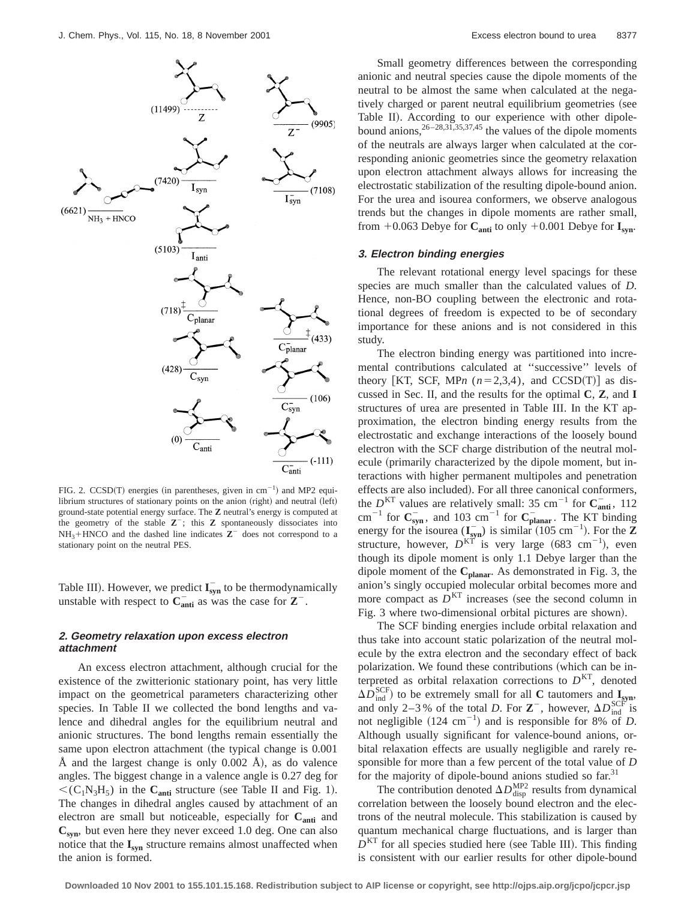

FIG. 2.  $CCSD(T)$  energies (in parentheses, given in cm<sup>-1</sup>) and MP2 equilibrium structures of stationary points on the anion  $(right)$  and neutral  $(left)$ ground-state potential energy surface. The **Z** neutral's energy is computed at the geometry of the stable  $Z^-$ ; this  $Z$  spontaneously dissociates into  $NH_3+HNCO$  and the dashed line indicates  $\mathbb{Z}^+$  does not correspond to a stationary point on the neutral PES.

Table III). However, we predict  $I_{syn}^-$  to be thermodynamically unstable with respect to  $\mathbf{C}_{\text{anti}}^-$  as was the case for  $\mathbf{Z}^-$ .

## **2. Geometry relaxation upon excess electron attachment**

An excess electron attachment, although crucial for the existence of the zwitterionic stationary point, has very little impact on the geometrical parameters characterizing other species. In Table II we collected the bond lengths and valence and dihedral angles for the equilibrium neutral and anionic structures. The bond lengths remain essentially the same upon electron attachment (the typical change is 0.001 Å and the largest change is only  $0.002$  Å), as do valence angles. The biggest change in a valence angle is 0.27 deg for  $\langle (C_1N_3H_5)$  in the  $C_{\text{anti}}$  structure (see Table II and Fig. 1). The changes in dihedral angles caused by attachment of an electron are small but noticeable, especially for C<sub>anti</sub> and  $C<sub>syn</sub>$ , but even here they never exceed 1.0 deg. One can also notice that the **Isyn** structure remains almost unaffected when the anion is formed.

Small geometry differences between the corresponding anionic and neutral species cause the dipole moments of the neutral to be almost the same when calculated at the negatively charged or parent neutral equilibrium geometries (see Table II). According to our experience with other dipolebound anions,  $26-28,31,35,37,45$  the values of the dipole moments of the neutrals are always larger when calculated at the corresponding anionic geometries since the geometry relaxation upon electron attachment always allows for increasing the electrostatic stabilization of the resulting dipole-bound anion. For the urea and isourea conformers, we observe analogous trends but the changes in dipole moments are rather small, from  $+0.063$  Debye for  $C_{\text{anti}}$  to only  $+0.001$  Debye for  $I_{\text{syn}}$ .

#### **3. Electron binding energies**

The relevant rotational energy level spacings for these species are much smaller than the calculated values of *D*. Hence, non-BO coupling between the electronic and rotational degrees of freedom is expected to be of secondary importance for these anions and is not considered in this study.

The electron binding energy was partitioned into incremental contributions calculated at ''successive'' levels of theory [KT, SCF, MPn  $(n=2,3,4)$ , and CCSD(T)] as discussed in Sec. II, and the results for the optimal **C**, **Z**, and **I** structures of urea are presented in Table III. In the KT approximation, the electron binding energy results from the electrostatic and exchange interactions of the loosely bound electron with the SCF charge distribution of the neutral molecule (primarily characterized by the dipole moment, but interactions with higher permanent multipoles and penetration effects are also included). For all three canonical conformers, the  $D<sup>KT</sup>$  values are relatively small: 35 cm<sup>-1</sup> for  $C<sub>anti</sub>$ , 112  $\text{cm}^{-1}$  for  $\text{C}_{\text{syn}}^-$ , and 103  $\text{cm}^{-1}$  for  $\text{C}_{\text{planar}}^-$ . The KT binding energy for the isourea  $(\mathbf{I}_{syn}^-)$  is similar  $(105 \text{ cm}^{-1})$ . For the **Z** structure, however,  $D^{K\tilde{T}}$  is very large (683 cm<sup>-1</sup>), even though its dipole moment is only 1.1 Debye larger than the dipole moment of the **Cplanar**. As demonstrated in Fig. 3, the anion's singly occupied molecular orbital becomes more and more compact as  $D<sup>KT</sup>$  increases (see the second column in Fig. 3 where two-dimensional orbital pictures are shown).

The SCF binding energies include orbital relaxation and thus take into account static polarization of the neutral molecule by the extra electron and the secondary effect of back polarization. We found these contributions (which can be interpreted as orbital relaxation corrections to  $D<sup>KT</sup>$ , denoted  $\Delta D_{\text{ind}}^{\text{SCF}}$  to be extremely small for all **C** tautomers and **I<sub>syn</sub>**, and only 2–3% of the total *D*. For  $\mathbb{Z}^{-}$ , however,  $\Delta D_{\text{ind}}^{\text{SCF}}$  is not negligible  $(124 \text{ cm}^{-1})$  and is responsible for 8% of *D*. Although usually significant for valence-bound anions, orbital relaxation effects are usually negligible and rarely responsible for more than a few percent of the total value of *D* for the majority of dipole-bound anions studied so far.<sup>31</sup>

The contribution denoted  $\Delta D_{\text{disp}}^{\text{MP2}}$  results from dynamical correlation between the loosely bound electron and the electrons of the neutral molecule. This stabilization is caused by quantum mechanical charge fluctuations, and is larger than  $D<sup>KT</sup>$  for all species studied here (see Table III). This finding is consistent with our earlier results for other dipole-bound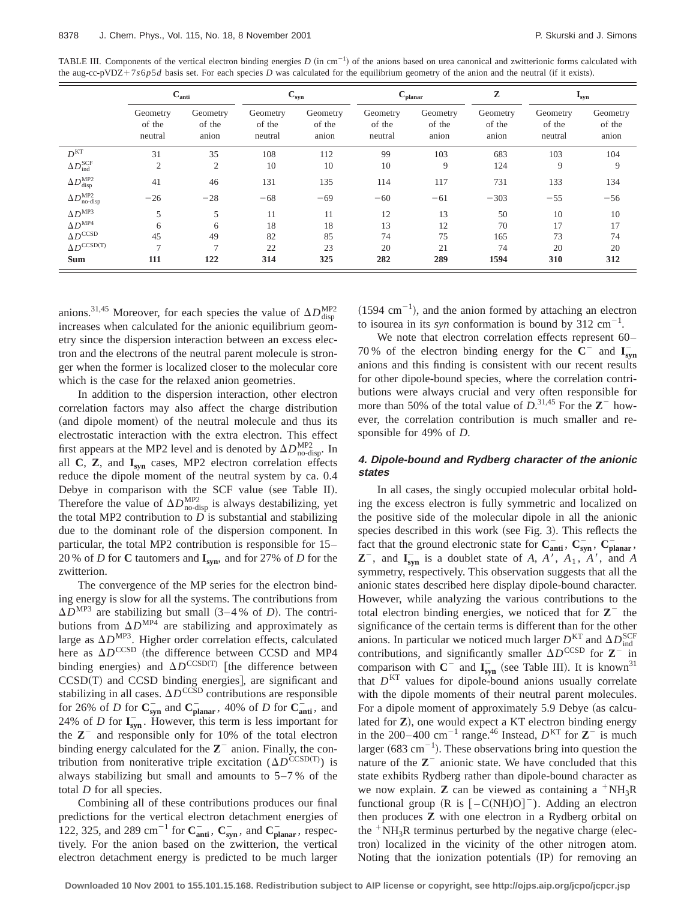TABLE III. Components of the vertical electron binding energies  $D$  (in cm<sup>-1</sup>) of the anions based on urea canonical and zwitterionic forms calculated with the aug-cc-pVDZ+7 $s6p5d$  basis set. For each species *D* was calculated for the equilibrium geometry of the anion and the neutral (if it exists).

|                                          | $C_{\text{anti}}$             |                             | $\mathbf{C_{syn}}$            |                             | $C_{\text{planar}}$           |                             | Z                           | $\mathbf{I}_{syn}$            |                             |
|------------------------------------------|-------------------------------|-----------------------------|-------------------------------|-----------------------------|-------------------------------|-----------------------------|-----------------------------|-------------------------------|-----------------------------|
|                                          | Geometry<br>of the<br>neutral | Geometry<br>of the<br>anion | Geometry<br>of the<br>neutral | Geometry<br>of the<br>anion | Geometry<br>of the<br>neutral | Geometry<br>of the<br>anion | Geometry<br>of the<br>anion | Geometry<br>of the<br>neutral | Geometry<br>of the<br>anion |
| D <sup>KT</sup>                          | 31                            | 35                          | 108                           | 112                         | 99                            | 103                         | 683                         | 103                           | 104                         |
| $\Delta D_{\text{ind}}^{\text{SCF}}$     | $\overline{2}$                | 2                           | 10                            | 10                          | 10                            | 9                           | 124                         | 9                             | 9                           |
| $\Delta D^{\text{MP2}}_{\text{disp}}$    | 41                            | 46                          | 131                           | 135                         | 114                           | 117                         | 731                         | 133                           | 134                         |
| $\Delta D_{\text{no-disp}}^{\text{MP2}}$ | $-26$                         | $-28$                       | $-68$                         | $-69$                       | $-60$                         | $-61$                       | $-303$                      | $-55$                         | $-56$                       |
| $\Delta D^{\rm MP3}$                     | 5                             | 5                           | 11                            | 11                          | 12                            | 13                          | 50                          | 10                            | 10                          |
| $\Delta D^{\rm MP4}$                     | 6                             | 6                           | 18                            | 18                          | 13                            | 12                          | 70                          | 17                            | 17                          |
| $\Delta D^{\rm CCSD}$                    | 45                            | 49                          | 82                            | 85                          | 74                            | 75                          | 165                         | 73                            | 74                          |
| $\Delta D^{\rm CCSD(T)}$                 | $\overline{ }$                | $\overline{ }$              | 22                            | 23                          | 20                            | 21                          | 74                          | 20                            | 20                          |
| <b>Sum</b>                               | 111                           | 122                         | 314                           | 325                         | 282                           | 289                         | 1594                        | 310                           | 312                         |

anions.<sup>31,45</sup> Moreover, for each species the value of  $\Delta D_{\text{disp}}^{\text{MP2}}$ increases when calculated for the anionic equilibrium geometry since the dispersion interaction between an excess electron and the electrons of the neutral parent molecule is stronger when the former is localized closer to the molecular core which is the case for the relaxed anion geometries.

In addition to the dispersion interaction, other electron correlation factors may also affect the charge distribution (and dipole moment) of the neutral molecule and thus its electrostatic interaction with the extra electron. This effect first appears at the MP2 level and is denoted by  $\Delta D_{\text{no-disp}}^{\text{MP2}}$ . In all **C**, **Z**, and **Isyn** cases, MP2 electron correlation effects reduce the dipole moment of the neutral system by ca. 0.4 Debye in comparison with the SCF value (see Table II). Therefore the value of  $\Delta D_{\text{no-disp}}^{\text{MP2}}$  is always destabilizing, yet the total MP2 contribution to  $D$  is substantial and stabilizing due to the dominant role of the dispersion component. In particular, the total MP2 contribution is responsible for 15– 20 % of *D* for **C** tautomers and **Isyn**, and for 27% of *D* for the zwitterion.

The convergence of the MP series for the electron binding energy is slow for all the systems. The contributions from  $\Delta D^{MP3}$  are stabilizing but small  $(3-4\% \text{ of } D)$ . The contributions from  $\Delta D^{MP4}$  are stabilizing and approximately as large as  $\Delta D^{MP3}$ . Higher order correlation effects, calculated here as  $\Delta D^{\text{CCSD}}$  (the difference between CCSD and MP4 binding energies) and  $\Delta D^{\text{CCSD(T)}}$  [the difference between  $CCSD(T)$  and  $CCSD$  binding energies], are significant and stabilizing in all cases.  $\Delta D^{\text{CCSD}}$  contributions are responsible for 26% of *D* for  $C_{syn}^-$  and  $C_{planar}^-$ , 40% of *D* for  $C_{anti}^-$ , and 24% of *D* for  $I_{syn}^-$ . However, this term is less important for the  $\mathbb{Z}^-$  and responsible only for 10% of the total electron binding energy calculated for the  $\mathbb{Z}^-$  anion. Finally, the contribution from noniterative triple excitation  $(\Delta D^{\text{CCSD(T)}})$  is always stabilizing but small and amounts to 5–7 % of the total *D* for all species.

Combining all of these contributions produces our final predictions for the vertical electron detachment energies of 122, 325, and 289 cm<sup>-1</sup> for  $\mathbf{C}_{\text{anti}}^-$ ,  $\mathbf{C}_{\text{syn}}^-$ , and  $\mathbf{C}_{\text{planar}}^-$ , respectively. For the anion based on the zwitterion, the vertical electron detachment energy is predicted to be much larger  $(1594 \text{ cm}^{-1})$ , and the anion formed by attaching an electron to isourea in its *syn* conformation is bound by  $312 \text{ cm}^{-1}$ .

We note that electron correlation effects represent 60– 70 % of the electron binding energy for the  $\overline{C}^-$  and  $\overline{I_{syn}}$ anions and this finding is consistent with our recent results for other dipole-bound species, where the correlation contributions were always crucial and very often responsible for more than 50% of the total value of  $D$ .<sup>31,45</sup> For the  $\mathbb{Z}^-$  however, the correlation contribution is much smaller and responsible for 49% of *D*.

### **4. Dipole-bound and Rydberg character of the anionic states**

In all cases, the singly occupied molecular orbital holding the excess electron is fully symmetric and localized on the positive side of the molecular dipole in all the anionic species described in this work (see Fig. 3). This reflects the fact that the ground electronic state for  $\mathbf{C}_{\text{anti}}^-$ ,  $\mathbf{C}_{\text{syn}}^-$ ,  $\mathbf{C}_{\text{planar}}^-$ ,  $\mathbb{Z}^{-}$ , and  $\mathbb{I}_{syn}^{-}$  is a doublet state of *A*, *A*<sup>1</sup>, *A*<sub>1</sub>, *A*<sup>1</sup>, and *A* symmetry, respectively. This observation suggests that all the anionic states described here display dipole-bound character. However, while analyzing the various contributions to the total electron binding energies, we noticed that for  $Z^-$  the significance of the certain terms is different than for the other anions. In particular we noticed much larger  $D_{\text{max}}^{\text{KT}}$  and  $\Delta D_{\text{ind}}^{\text{SCF}}$ contributions, and significantly smaller  $\Delta D^{\text{CCSD}}$  for  $\mathbb{Z}^{-\text{max}}$ comparison with  $C^-$  and  $I_{syn}^-$  (see Table III). It is known<sup>31</sup> that  $D<sup>KT</sup>$  values for dipole-bound anions usually correlate with the dipole moments of their neutral parent molecules. For a dipole moment of approximately 5.9 Debye (as calculated for **Z**), one would expect a KT electron binding energy in the 200–400 cm<sup>-1</sup> range.<sup>46</sup> Instead,  $D<sup>KT</sup>$  for  $Z<sup>-</sup>$  is much larger (683 cm<sup>-1</sup>). These observations bring into question the nature of the  $\mathbb{Z}^-$  anionic state. We have concluded that this state exhibits Rydberg rather than dipole-bound character as we now explain. **Z** can be viewed as containing a  $+NH_3R$ functional group  $(R \text{ is } [-C(NH)O]^-)$ . Adding an electron then produces **Z** with one electron in a Rydberg orbital on the  $+NH_3R$  terminus perturbed by the negative charge (electron) localized in the vicinity of the other nitrogen atom. Noting that the ionization potentials (IP) for removing an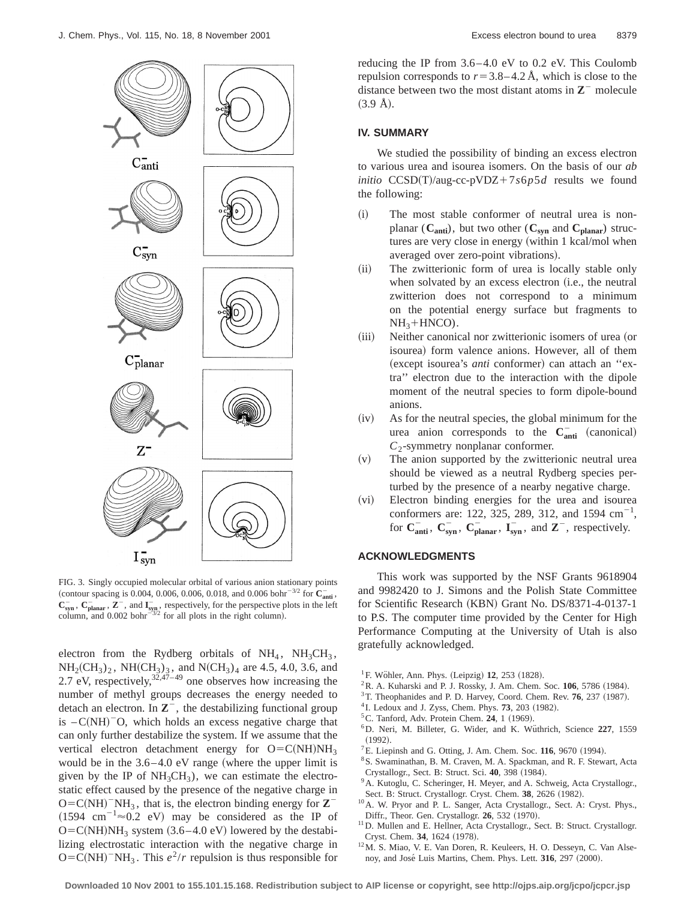

FIG. 3. Singly occupied molecular orbital of various anion stationary points (contour spacing is 0.004, 0.006, 0.006, 0.018, and 0.006 bohr<sup>-3/2</sup> for  $\mathbf{C}_{\text{anti}}^{-}$ ,  $C_{syn}^-$ ,  $C_{planar}^-$ ,  $Z^-$ , and  $I_{syn}^-$ , respectively, for the perspective plots in the left column, and  $0.002$  bohr<sup> $-372$ </sup> for all plots in the right column).

electron from the Rydberg orbitals of  $NH_4$ ,  $NH_3CH_3$ ,  $NH_2CH_3)_2$ ,  $NH(CH_3)_3$ , and  $N(CH_3)_4$  are 4.5, 4.0, 3.6, and 2.7 eV, respectively,  $3^{2,47-49}$  one observes how increasing the number of methyl groups decreases the energy needed to detach an electron. In  $\mathbb{Z}^{-}$ , the destabilizing functional group is  $-C(NH)$ <sup>-</sup>O, which holds an excess negative charge that can only further destabilize the system. If we assume that the vertical electron detachment energy for  $O=C(NH)NH_3$ would be in the  $3.6-4.0$  eV range (where the upper limit is given by the IP of  $NH<sub>3</sub>CH<sub>3</sub>$ , we can estimate the electrostatic effect caused by the presence of the negative charge in  $O=C(NH)^{-}NH_3$ , that is, the electron binding energy for  $\mathbb{Z}^{-}$  $(1594 \text{ cm}^{-1} \approx 0.2 \text{ eV})$  may be considered as the IP of  $O=C(NH)NH_3$  system  $(3.6-4.0 \text{ eV})$  lowered by the destabilizing electrostatic interaction with the negative charge in  $O=C(NH)^{-}NH_3$ . This  $e^2/r$  repulsion is thus responsible for reducing the IP from 3.6–4.0 eV to 0.2 eV. This Coulomb repulsion corresponds to  $r=3.8-4.2 \text{ Å}$ , which is close to the distance between two the most distant atoms in  $\mathbb{Z}$ <sup>-</sup> molecule  $(3.9 \text{ Å})$ .

#### **IV. SUMMARY**

We studied the possibility of binding an excess electron to various urea and isourea isomers. On the basis of our *ab initio*  $CCSD(T)/aug-cc-pVDZ+7s6p5d$  results we found the following:

- (i) The most stable conformer of neutral urea is nonplanar  $(C_{\text{anti}})$ , but two other  $(C_{\text{syn}}$  and  $C_{\text{planar}})$  structures are very close in energy (within  $1$  kcal/mol when averaged over zero-point vibrations).
- (ii) The zwitterionic form of urea is locally stable only when solvated by an excess electron (i.e., the neutral zwitterion does not correspond to a minimum on the potential energy surface but fragments to  $NH<sub>3</sub> + HNCO$ ).
- (iii) Neither canonical nor zwitterionic isomers of urea (or isourea) form valence anions. However, all of them (except isourea's *anti* conformer) can attach an "extra'' electron due to the interaction with the dipole moment of the neutral species to form dipole-bound anions.
- $(iv)$  As for the neutral species, the global minimum for the urea anion corresponds to the  $C_{\text{anti}}^-$  (canonical) *C*<sub>2</sub>-symmetry nonplanar conformer.
- $(v)$  The anion supported by the zwitterionic neutral urea should be viewed as a neutral Rydberg species perturbed by the presence of a nearby negative charge.
- (vi) Electron binding energies for the urea and isourea conformers are: 122, 325, 289, 312, and 1594  $\text{cm}^{-1}$ , for  $C_{\text{anti}}^-$ ,  $C_{\text{syn}}^-$ ,  $C_{\text{planar}}^-$ ,  $I_{\text{syn}}^-$ , and  $Z^-$ , respectively.

### **ACKNOWLEDGMENTS**

This work was supported by the NSF Grants 9618904 and 9982420 to J. Simons and the Polish State Committee for Scientific Research (KBN) Grant No. DS/8371-4-0137-1 to P.S. The computer time provided by the Center for High Performance Computing at the University of Utah is also gratefully acknowledged.

- $^{1}$ F. Wöhler, Ann. Phys. (Leipzig) 12, 253 (1828).
- ${}^{2}$ R. A. Kuharski and P. J. Rossky, J. Am. Chem. Soc.  $106$ , 5786 (1984).
- <sup>3</sup>T. Theophanides and P. D. Harvey, Coord. Chem. Rev. **76**, 237 (1987).
- $4$ I. Ledoux and J. Zyss, Chem. Phys. **73**, 203 (1982).
- ${}^5$ C. Tanford, Adv. Protein Chem. 24, 1 (1969).
- 6D. Neri, M. Billeter, G. Wider, and K. Wu¨thrich, Science **227**, 1559  $(1992).$
- ${}^{7}E$ . Liepinsh and G. Otting, J. Am. Chem. Soc. 116, 9670 (1994).
- 8S. Swaminathan, B. M. Craven, M. A. Spackman, and R. F. Stewart, Acta Crystallogr., Sect. B: Struct. Sci. 40, 398 (1984).
- <sup>9</sup>A. Kutoglu, C. Scheringer, H. Meyer, and A. Schweig, Acta Crystallogr., Sect. B: Struct. Crystallogr. Cryst. Chem. 38, 2626 (1982).
- 10A. W. Pryor and P. L. Sanger, Acta Crystallogr., Sect. A: Cryst. Phys., Diffr., Theor. Gen. Crystallogr. **26**, 532 (1970).
- <sup>11</sup>D. Mullen and E. Hellner, Acta Crystallogr., Sect. B: Struct. Crystallogr. Cryst. Chem. 34, 1624 (1978).
- 12M. S. Miao, V. E. Van Doren, R. Keuleers, H. O. Desseyn, C. Van Alsenoy, and José Luis Martins, Chem. Phys. Lett. 316, 297 (2000).